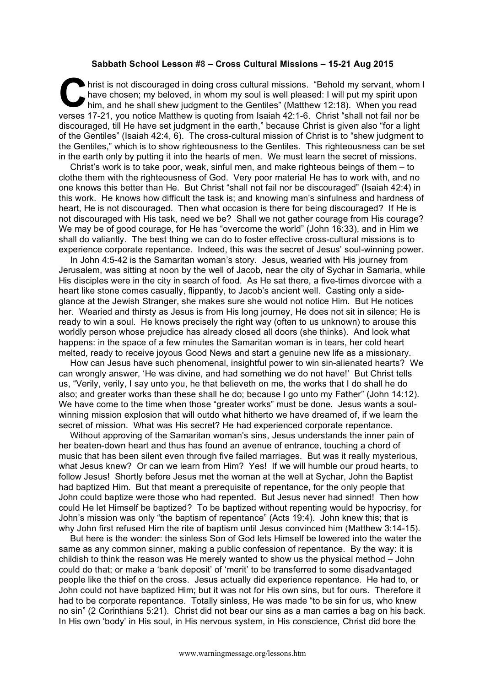## **Sabbath School Lesson #8 – Cross Cultural Missions – 15-21 Aug 2015**

hrist is not discouraged in doing cross cultural missions. "Behold my servant, whom I have chosen; my beloved, in whom my soul is well pleased: I will put my spirit upon him, and he shall shew judgment to the Gentiles" (Matthew 12:18). When you read verses 17-21, you notice Matthew is quoting from Isaiah 42:1-6. Christ "shall not fail nor be discouraged, till He have set judgment in the earth," because Christ is given also "for a light of the Gentiles" (Isaiah 42:4, 6). The cross-cultural mission of Christ is to "shew judgment to the Gentiles," which is to show righteousness to the Gentiles. This righteousness can be set in the earth only by putting it into the hearts of men. We must learn the secret of missions. C hat<br>hin

Christ's work is to take poor, weak, sinful men, and make righteous beings of them – to clothe them with the righteousness of God. Very poor material He has to work with, and no one knows this better than He. But Christ "shall not fail nor be discouraged" (Isaiah 42:4) in this work. He knows how difficult the task is; and knowing man's sinfulness and hardness of heart, He is not discouraged. Then what occasion is there for being discouraged? If He is not discouraged with His task, need we be? Shall we not gather courage from His courage? We may be of good courage, for He has "overcome the world" (John 16:33), and in Him we shall do valiantly. The best thing we can do to foster effective cross-cultural missions is to experience corporate repentance. Indeed, this was the secret of Jesus' soul-winning power.

In John 4:5-42 is the Samaritan woman's story. Jesus, wearied with His journey from Jerusalem, was sitting at noon by the well of Jacob, near the city of Sychar in Samaria, while His disciples were in the city in search of food. As He sat there, a five-times divorcee with a heart like stone comes casually, flippantly, to Jacob's ancient well. Casting only a sideglance at the Jewish Stranger, she makes sure she would not notice Him. But He notices her. Wearied and thirsty as Jesus is from His long journey, He does not sit in silence; He is ready to win a soul. He knows precisely the right way (often to us unknown) to arouse this worldly person whose prejudice has already closed all doors (she thinks). And look what happens: in the space of a few minutes the Samaritan woman is in tears, her cold heart melted, ready to receive joyous Good News and start a genuine new life as a missionary.

How can Jesus have such phenomenal, insightful power to win sin-alienated hearts? We can wrongly answer, 'He was divine, and had something we do not have!' But Christ tells us, "Verily, verily, I say unto you, he that believeth on me, the works that I do shall he do also; and greater works than these shall he do; because I go unto my Father" (John 14:12). We have come to the time when those "greater works" must be done. Jesus wants a soulwinning mission explosion that will outdo what hitherto we have dreamed of, if we learn the secret of mission. What was His secret? He had experienced corporate repentance.

Without approving of the Samaritan woman's sins, Jesus understands the inner pain of her beaten-down heart and thus has found an avenue of entrance, touching a chord of music that has been silent even through five failed marriages. But was it really mysterious, what Jesus knew? Or can we learn from Him? Yes! If we will humble our proud hearts, to follow Jesus! Shortly before Jesus met the woman at the well at Sychar, John the Baptist had baptized Him. But that meant a prerequisite of repentance, for the only people that John could baptize were those who had repented. But Jesus never had sinned! Then how could He let Himself be baptized? To be baptized without repenting would be hypocrisy, for John's mission was only "the baptism of repentance" (Acts 19:4). John knew this; that is why John first refused Him the rite of baptism until Jesus convinced him (Matthew 3:14-15).

But here is the wonder: the sinless Son of God lets Himself be lowered into the water the same as any common sinner, making a public confession of repentance. By the way: it is childish to think the reason was He merely wanted to show us the physical method – John could do that; or make a 'bank deposit' of 'merit' to be transferred to some disadvantaged people like the thief on the cross. Jesus actually did experience repentance. He had to, or John could not have baptized Him; but it was not for His own sins, but for ours. Therefore it had to be corporate repentance. Totally sinless, He was made "to be sin for us, who knew no sin" (2 Corinthians 5:21). Christ did not bear our sins as a man carries a bag on his back. In His own 'body' in His soul, in His nervous system, in His conscience, Christ did bore the